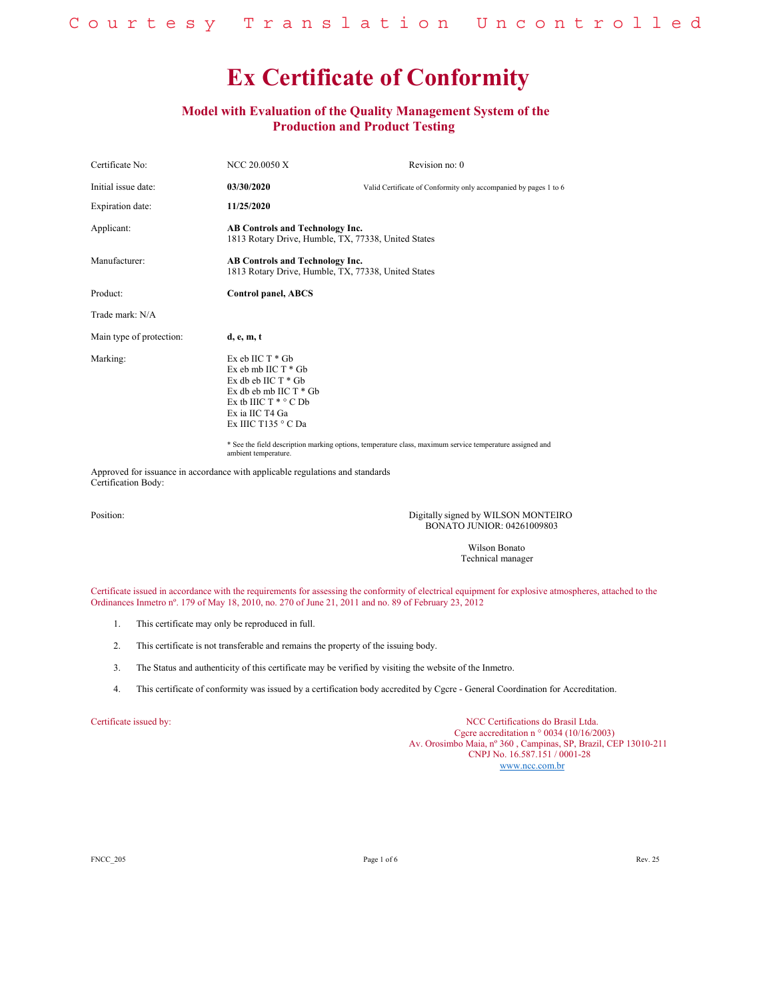## **Model with Evaluation of the Quality Management System of the Production and Product Testing**

| Certificate No:          | NCC 20.0050 X                                                                                                                                                                 | Revision no: 0                                                                                           |
|--------------------------|-------------------------------------------------------------------------------------------------------------------------------------------------------------------------------|----------------------------------------------------------------------------------------------------------|
| Initial issue date:      | 03/30/2020                                                                                                                                                                    | Valid Certificate of Conformity only accompanied by pages 1 to 6                                         |
| Expiration date:         | 11/25/2020                                                                                                                                                                    |                                                                                                          |
| Applicant:               | <b>AB Controls and Technology Inc.</b><br>1813 Rotary Drive, Humble, TX, 77338, United States                                                                                 |                                                                                                          |
| Manufacturer:            | <b>AB Controls and Technology Inc.</b><br>1813 Rotary Drive, Humble, TX, 77338, United States                                                                                 |                                                                                                          |
| Product:                 | Control panel, ABCS                                                                                                                                                           |                                                                                                          |
| Trade mark: N/A          |                                                                                                                                                                               |                                                                                                          |
| Main type of protection: | d, e, m, t                                                                                                                                                                    |                                                                                                          |
| Marking:                 | $Ex$ eb IIC $T * Gb$<br>Ex eb mb IIC T * Gb<br>Ex db eb $HCT * Gb$<br>Ex db eb mb IIC T * Gb<br>Ex tb IIIC $T^* \circ C$ Db<br>Ex ia IIC T4 Ga<br>Ex IIIC T135 $\degree$ C Da | * See the field description marking options, temperature class, maximum service temperature assigned and |

ambient temperature.

Approved for issuance in accordance with applicable regulations and standards Certification Body:

Position: Digitally signed by WILSON MONTEIRO BONATO JUNIOR: 04261009803

> Wilson Bonato Technical manager

Certificate issued in accordance with the requirements for assessing the conformity of electrical equipment for explosive atmospheres, attached to the Ordinances Inmetro nº. 179 of May 18, 2010, no. 270 of June 21, 2011 and no. 89 of February 23, 2012

- 1. This certificate may only be reproduced in full.
- 2. This certificate is not transferable and remains the property of the issuing body.
- 3. The Status and authenticity of this certificate may be verified by visiting the website of the Inmetro.
- 4. This certificate of conformity was issued by a certification body accredited by Cgcre General Coordination for Accreditation.

Certificate issued by: NCC Certifications do Brasil Ltda. Cgcre accreditation n ° 0034 (10/16/2003) Av. Orosimbo Maia, nº 360 , Campinas, SP, Brazil, CEP 13010-211 CNPJ No. 16.587.151 / 0001-28 www.ncc.com.br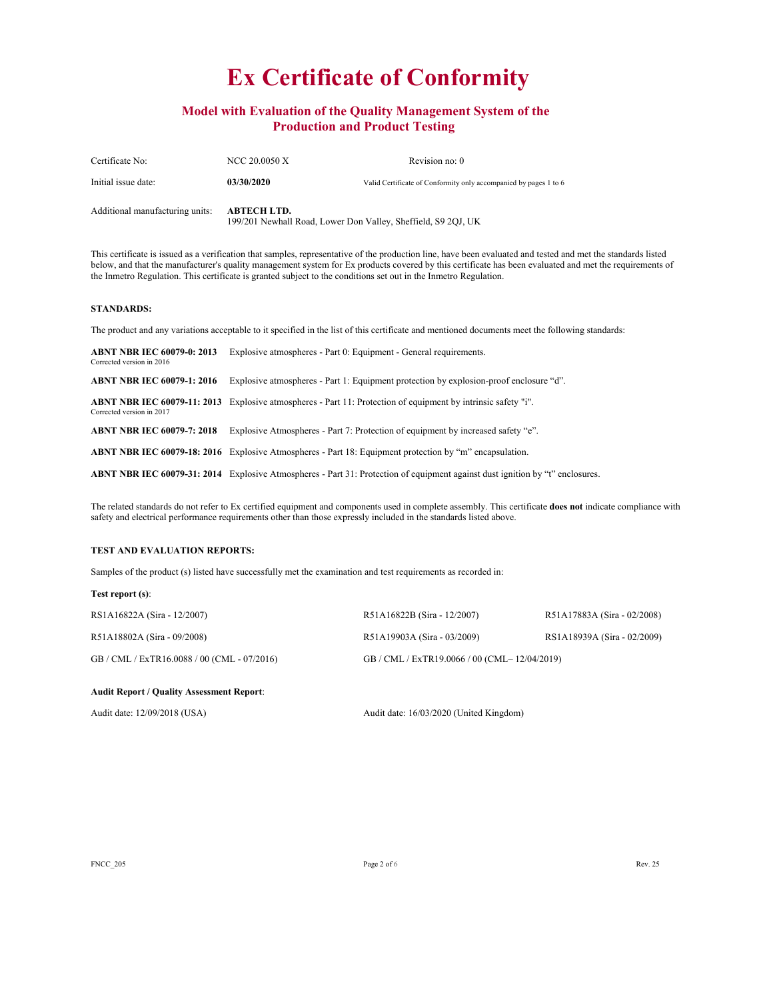## **Model with Evaluation of the Quality Management System of the Production and Product Testing**

| Certificate No:                 | NCC 20.0050 X                                                                       | Revision no: 0                                                   |  |
|---------------------------------|-------------------------------------------------------------------------------------|------------------------------------------------------------------|--|
| Initial issue date:             | 03/30/2020                                                                          | Valid Certificate of Conformity only accompanied by pages 1 to 6 |  |
| Additional manufacturing units: | <b>ABTECH LTD.</b><br>199/201 Newhall Road, Lower Don Valley, Sheffield, S9 2QJ, UK |                                                                  |  |

This certificate is issued as a verification that samples, representative of the production line, have been evaluated and tested and met the standards listed below, and that the manufacturer's quality management system for Ex products covered by this certificate has been evaluated and met the requirements of the Inmetro Regulation. This certificate is granted subject to the conditions set out in the Inmetro Regulation.

### **STANDARDS:**

The product and any variations acceptable to it specified in the list of this certificate and mentioned documents meet the following standards:

| <b>ABNT NBR IEC 60079-0: 2013</b><br>Corrected version in 2016 | Explosive atmospheres - Part 0: Equipment - General requirements.                                                                    |
|----------------------------------------------------------------|--------------------------------------------------------------------------------------------------------------------------------------|
| <b>ABNT NBR IEC 60079-1: 2016</b>                              | Explosive atmospheres - Part 1: Equipment protection by explosion-proof enclosure "d".                                               |
| Corrected version in 2017                                      | ABNT NBR IEC 60079-11: 2013 Explosive atmospheres - Part 11: Protection of equipment by intrinsic safety "i".                        |
| <b>ABNT NBR IEC 60079-7: 2018</b>                              | Explosive Atmospheres - Part 7: Protection of equipment by increased safety "e".                                                     |
|                                                                | <b>ABNT NBR IEC 60079-18: 2016</b> Explosive Atmospheres - Part 18: Equipment protection by "m" encapsulation.                       |
|                                                                | <b>ABNT NBR IEC 60079-31: 2014</b> Explosive Atmospheres - Part 31: Protection of equipment against dust ignition by "t" enclosures. |

The related standards do not refer to Ex certified equipment and components used in complete assembly. This certificate **does not** indicate compliance with safety and electrical performance requirements other than those expressly included in the standards listed above.

### **TEST AND EVALUATION REPORTS:**

Samples of the product (s) listed have successfully met the examination and test requirements as recorded in:

### **Test report (s)**:

| RS1A16822A (Sira - 12/2007)        | R51A16822B (Sira - 12/2007)            | R51A17883A (Sira - 02/2008) |
|------------------------------------|----------------------------------------|-----------------------------|
| R51A18802A (Sira - 09/2008)        | R51A19903A (Sira - 03/2009)            | RS1A18939A (Sira - 02/2009) |
| GB/CML/ExTR16.0088/00(CML-07/2016) | GB/CML/ExTR19.0066/00 (CML–12/04/2019) |                             |

#### **Audit Report / Quality Assessment Report**:

Audit date: 12/09/2018 (USA) Audit date: 16/03/2020 (United Kingdom)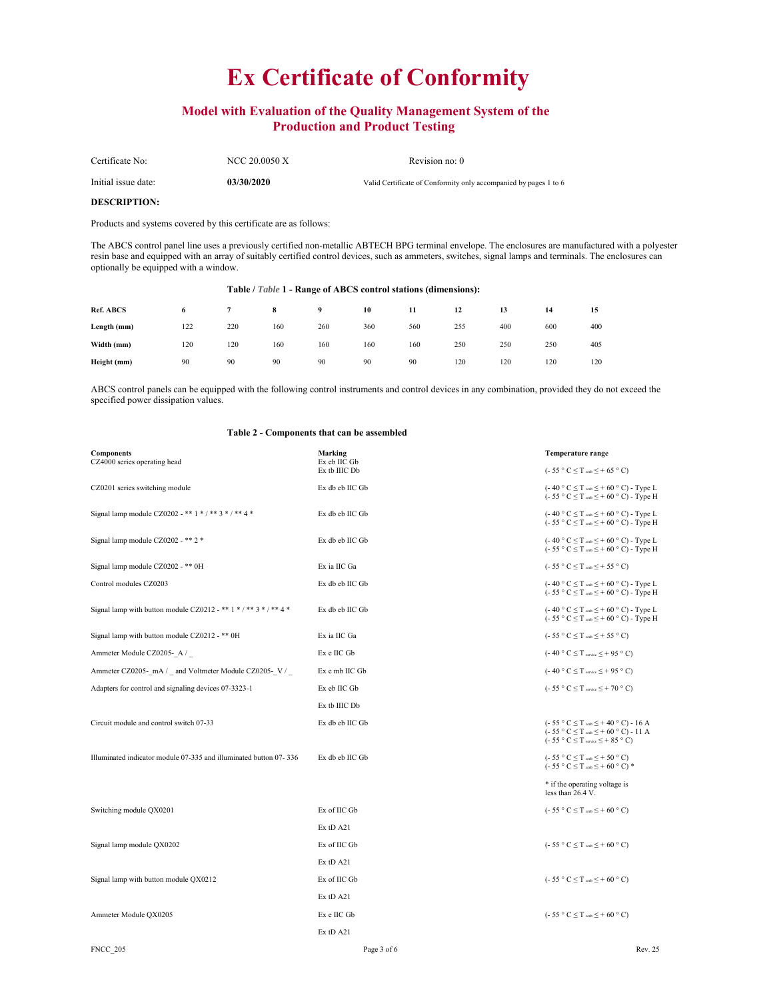## **Model with Evaluation of the Quality Management System of the Production and Product Testing**

| Certificate No:     | NCC 20.0050 X | Revision no: 0                                                   |
|---------------------|---------------|------------------------------------------------------------------|
| Initial issue date: | 03/30/2020    | Valid Certificate of Conformity only accompanied by pages 1 to 6 |

# **DESCRIPTION:**

Products and systems covered by this certificate are as follows:

The ABCS control panel line uses a previously certified non-metallic ABTECH BPG terminal envelope. The enclosures are manufactured with a polyester resin base and equipped with an array of suitably certified control devices, such as ammeters, switches, signal lamps and terminals. The enclosures can optionally be equipped with a window.

### **Table /** *Table* **1 - Range of ABCS control stations (dimensions):**

| <b>Ref. ABCS</b> | 6   |     | 8   | 9   | 10  | 11  | 12  | 13  | 14  | 15  |
|------------------|-----|-----|-----|-----|-----|-----|-----|-----|-----|-----|
| Length (mm)      | 122 | 220 | 160 | 260 | 360 | 560 | 255 | 400 | 600 | 400 |
| Width (mm)       | 120 | 120 | 160 | 160 | 160 | 160 | 250 | 250 | 250 | 405 |
| Height (mm)      | 90  | 90  | 90  | 90  | 90  | 90  | 120 | 120 | 120 | 120 |

ABCS control panels can be equipped with the following control instruments and control devices in any combination, provided they do not exceed the specified power dissipation values.

| <b>Components</b><br>CZ4000 series operating head                 | <b>Marking</b><br>Ex eb IIC Gb | <b>Temperature range</b>                                                                                                                                                                      |
|-------------------------------------------------------------------|--------------------------------|-----------------------------------------------------------------------------------------------------------------------------------------------------------------------------------------------|
|                                                                   | Ex tb IIIC Db                  | $(-55 \degree C \leq T$ and $\leq +65 \degree C)$                                                                                                                                             |
| CZ0201 series switching module                                    | Ex db eb IIC Gb                | $(-40 ° C \le T$ and $\le +60 ° C)$ - Type L<br>$(-55 \degree C \leq T \text{ and } \leq +60 \degree C)$ - Type H                                                                             |
| Signal lamp module CZ0202 - ** 1 * / ** 3 * / ** 4 *              | Ex db eb IIC Gb                | $(-40 ° C \le T$ and $\le +60 ° C)$ - Type L<br>$(-55 \degree C \leq T \text{ and } \leq +60 \degree C)$ - Type H                                                                             |
| Signal lamp module CZ0202 - ** 2 *                                | Ex db eb IIC Gb                | $(-40 ° C \le T$ and $\le +60 ° C)$ - Type L<br>$(-55 \degree C \leq T \text{ and } \leq +60 \degree C)$ - Type H                                                                             |
| Signal lamp module CZ0202 - ** 0H                                 | Ex ia IIC Ga                   | $(-55 \degree C \leq T$ and $\leq +55 \degree C)$                                                                                                                                             |
| Control modules CZ0203                                            | Ex db eb IIC Gb                | $(-40 ° C \le T$ and $\le +60 ° C)$ - Type L<br>$(-55 \degree C \leq T \text{ and } \leq +60 \degree C)$ - Type H                                                                             |
| Signal lamp with button module CZ0212 - ** 1 * / ** 3 * / ** 4 *  | Ex db eb IIC Gb                | $(-40 ° C \le T$ and $\le +60 ° C)$ - Type L<br>(- 55 ° C $\leq$ T and $\leq$ + 60 ° C) - Type H                                                                                              |
| Signal lamp with button module CZ0212 - ** 0H                     | Ex ia IIC Ga                   | $(-55 \degree C \leq T$ and $\leq +55 \degree C$                                                                                                                                              |
| Ammeter Module CZ0205-A/                                          | Ex e IIC Gb                    | (-40 ° C $\leq$ T service $\leq$ + 95 ° C)                                                                                                                                                    |
| Ammeter CZ0205- mA / and Voltmeter Module CZ0205- V /             | Ex e mb IIC Gb                 | $(-40 ° C \le T$ service $\le$ + 95 ° C)                                                                                                                                                      |
| Adapters for control and signaling devices 07-3323-1              | Ex eb IIC Gb                   | $(-55 \degree C \leq T \text{ service} \leq +70 \degree C)$                                                                                                                                   |
|                                                                   | Ex tb IIIC Db                  |                                                                                                                                                                                               |
| Circuit module and control switch 07-33                           | Ex db eb IIC Gb                | $(-55 \degree C \leq T \text{ and } \leq +40 \degree C) - 16 \text{ A}$<br>$(-55 \degree C \leq T \text{ and } \leq +60 \degree C) -11 \text{ A}$<br>$(-55 ° C \le T$ service $\le$ + 85 ° C) |
| Illuminated indicator module 07-335 and illuminated button 07-336 | Ex db eb IIC Gb                | (- 55 ° C $\leq$ T and $\leq$ + 50 ° C)<br>$(-55 \circ C \leq T$ and $\leq +60 \circ C)*$                                                                                                     |
|                                                                   |                                | * if the operating voltage is<br>less than 26.4 V.                                                                                                                                            |
| Switching module QX0201                                           | Ex of IIC Gb                   | $(-55 \degree C \leq T$ and $\leq +60 \degree C$                                                                                                                                              |
|                                                                   | $Ex$ tD $A21$                  |                                                                                                                                                                                               |
| Signal lamp module QX0202                                         | Ex of IIC Gb                   | $(-55 \degree C \leq T$ and $\leq +60 \degree C)$                                                                                                                                             |
|                                                                   | $Ex$ tD $A21$                  |                                                                                                                                                                                               |
| Signal lamp with button module QX0212                             | Ex of IIC Gb                   | $(-55 \degree C \leq T$ and $\leq +60 \degree C)$                                                                                                                                             |
|                                                                   | $Ex$ tD A21                    |                                                                                                                                                                                               |
| Ammeter Module QX0205                                             | Ex e IIC Gb                    | $(-55 \degree C \leq T$ and $\leq +60 \degree C)$                                                                                                                                             |
|                                                                   | $Ex$ tD $A21$                  |                                                                                                                                                                                               |

### **Table 2 - Components that can be assembled**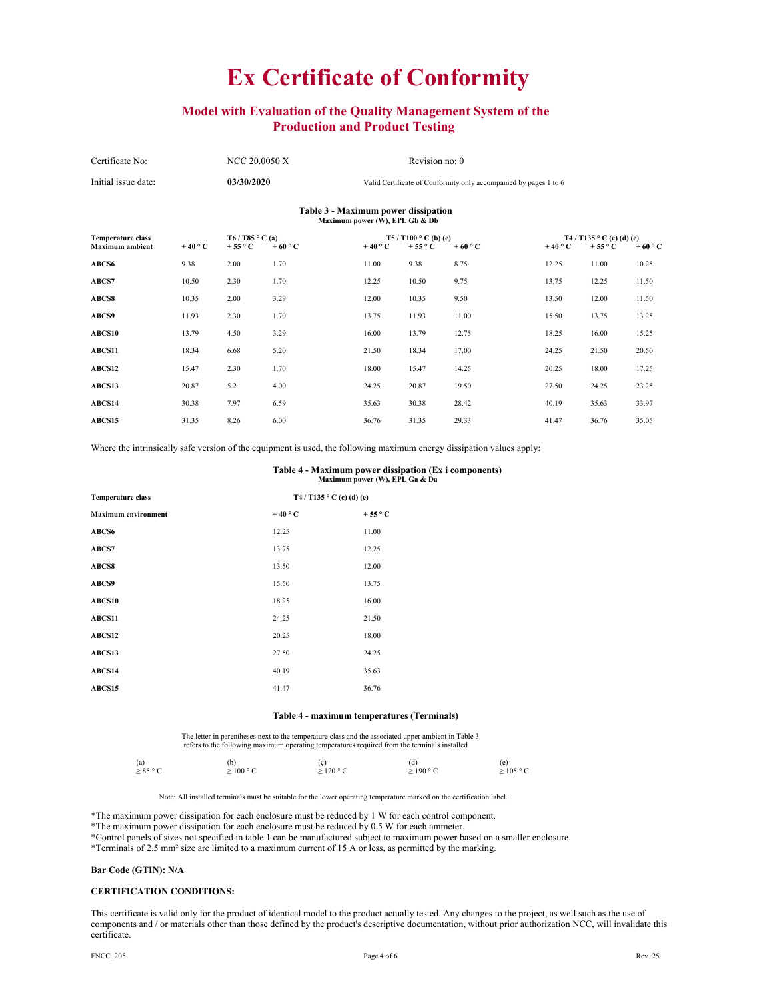## **Model with Evaluation of the Quality Management System of the Production and Product Testing**

| Certificate No:                                                       | NCC 20.0050 X | Revision no: 0                                                   |  |  |
|-----------------------------------------------------------------------|---------------|------------------------------------------------------------------|--|--|
| Initial issue date:                                                   | 03/30/2020    | Valid Certificate of Conformity only accompanied by pages 1 to 6 |  |  |
| Table 3 - Maximum power dissipation<br>Maximum power (W), EPL Gb & Db |               |                                                                  |  |  |

| <b>Temperature class</b><br><b>Maximum</b> ambient | $+40\degree$ C | T6 / T85 $\circ$ C (a)<br>$+55^{\circ}$ C | $+60^{\circ}$ C | $+40^{\circ}$ C | T5 / T100 $^{\circ}$ C (b) (e)<br>+55 $\circ$ C | $+60 °C$ | $+40\degree$ C | T4 / T135 $\degree$ C (c) (d) (e)<br>$+55^{\circ}$ C | $+60^{\circ}$ C |
|----------------------------------------------------|----------------|-------------------------------------------|-----------------|-----------------|-------------------------------------------------|----------|----------------|------------------------------------------------------|-----------------|
| ABCS6                                              | 9.38           | 2.00                                      | 1.70            | 11.00           | 9.38                                            | 8.75     | 12.25          | 11.00                                                | 10.25           |
| ABCS7                                              | 10.50          | 2.30                                      | 1.70            | 12.25           | 10.50                                           | 9.75     | 13.75          | 12.25                                                | 11.50           |
| <b>ABCS8</b>                                       | 10.35          | 2.00                                      | 3.29            | 12.00           | 10.35                                           | 9.50     | 13.50          | 12.00                                                | 11.50           |
| <b>ABCS9</b>                                       | 11.93          | 2.30                                      | 1.70            | 13.75           | 11.93                                           | 11.00    | 15.50          | 13.75                                                | 13.25           |
| <b>ABCS10</b>                                      | 13.79          | 4.50                                      | 3.29            | 16.00           | 13.79                                           | 12.75    | 18.25          | 16.00                                                | 15.25           |
| <b>ABCS11</b>                                      | 18.34          | 6.68                                      | 5.20            | 21.50           | 18.34                                           | 17.00    | 24.25          | 21.50                                                | 20.50           |
| ABCS12                                             | 15.47          | 2.30                                      | 1.70            | 18.00           | 15.47                                           | 14.25    | 20.25          | 18.00                                                | 17.25           |
| ABCS13                                             | 20.87          | 5.2                                       | 4.00            | 24.25           | 20.87                                           | 19.50    | 27.50          | 24.25                                                | 23.25           |
| ABCS14                                             | 30.38          | 7.97                                      | 6.59            | 35.63           | 30.38                                           | 28.42    | 40.19          | 35.63                                                | 33.97           |
| <b>ABCS15</b>                                      | 31.35          | 8.26                                      | 6.00            | 36.76           | 31.35                                           | 29.33    | 41.47          | 36.76                                                | 35.05           |

Where the intrinsically safe version of the equipment is used, the following maximum energy dissipation values apply:

#### **Table 4 - Maximum power dissipation (Ex i components) Maximum power (W), EPL Ga & Da**

| <b>Temperature class</b>   |                 | T4 / T135 ° C (c) (d) (e) |
|----------------------------|-----------------|---------------------------|
| <b>Maximum environment</b> | $+40^{\circ}$ C | $+55^{\circ}$ C           |
| ABCS6                      | 12.25           | 11.00                     |
| ABCS7                      | 13.75           | 12.25                     |
| ABCS8                      | 13.50           | 12.00                     |
| ABCS9                      | 15.50           | 13.75                     |
| ABCS10                     | 18.25           | 16.00                     |
| ABCS11                     | 24.25           | 21.50                     |
| ABCS12                     | 20.25           | 18.00                     |
| ABCS13                     | 27.50           | 24.25                     |
| ABCS14                     | 40.19           | 35.63                     |
| ABCS15                     | 41.47           | 36.76                     |
|                            |                 |                           |

### **Table 4 - maximum temperatures (Terminals)**

The letter in parentheses next to the temperature class and the associated upper ambient in Table 3 refers to the following maximum operating temperatures required from the terminals installed.

| (a)           | (b)            | (ç)            | (d)            | (e)            |
|---------------|----------------|----------------|----------------|----------------|
| $\geq 85$ ° C | $\geq$ 100 ° C | $\geq$ 120 ° C | $\geq$ 190 ° C | $\geq$ 105 ° C |
|               |                |                |                |                |

Note: All installed terminals must be suitable for the lower operating temperature marked on the certification label.

\*The maximum power dissipation for each enclosure must be reduced by 1 W for each control component.

\*The maximum power dissipation for each enclosure must be reduced by 0.5 W for each ammeter.

\*Control panels of sizes not specified in table 1 can be manufactured subject to maximum power based on a smaller enclosure.

\*Terminals of 2.5 mm² size are limited to a maximum current of 15 A or less, as permitted by the marking.

### **Bar Code (GTIN): N/A**

#### **CERTIFICATION CONDITIONS:**

This certificate is valid only for the product of identical model to the product actually tested. Any changes to the project, as well such as the use of components and / or materials other than those defined by the product's descriptive documentation, without prior authorization NCC, will invalidate this certificate.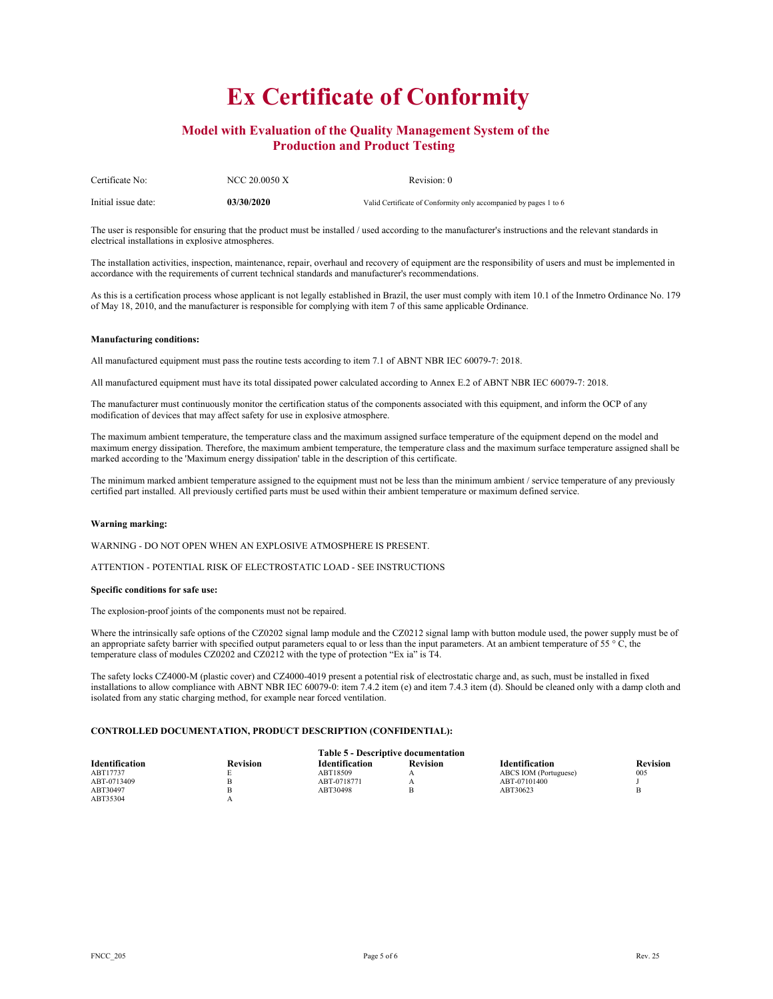## **Model with Evaluation of the Quality Management System of the Production and Product Testing**

| Certificate No:     | NCC 20.0050 X | Revision: 0                                                      |
|---------------------|---------------|------------------------------------------------------------------|
| Initial issue date: | 03/30/2020    | Valid Certificate of Conformity only accompanied by pages 1 to 6 |

The user is responsible for ensuring that the product must be installed / used according to the manufacturer's instructions and the relevant standards in electrical installations in explosive atmospheres.

The installation activities, inspection, maintenance, repair, overhaul and recovery of equipment are the responsibility of users and must be implemented in accordance with the requirements of current technical standards and manufacturer's recommendations.

As this is a certification process whose applicant is not legally established in Brazil, the user must comply with item 10.1 of the Inmetro Ordinance No. 179 of May 18, 2010, and the manufacturer is responsible for complying with item 7 of this same applicable Ordinance.

### **Manufacturing conditions:**

All manufactured equipment must pass the routine tests according to item 7.1 of ABNT NBR IEC 60079-7: 2018.

All manufactured equipment must have its total dissipated power calculated according to Annex E.2 of ABNT NBR IEC 60079-7: 2018.

The manufacturer must continuously monitor the certification status of the components associated with this equipment, and inform the OCP of any modification of devices that may affect safety for use in explosive atmosphere.

The maximum ambient temperature, the temperature class and the maximum assigned surface temperature of the equipment depend on the model and maximum energy dissipation. Therefore, the maximum ambient temperature, the temperature class and the maximum surface temperature assigned shall be marked according to the 'Maximum energy dissipation' table in the description of this certificate.

The minimum marked ambient temperature assigned to the equipment must not be less than the minimum ambient / service temperature of any previously certified part installed. All previously certified parts must be used within their ambient temperature or maximum defined service.

#### **Warning marking:**

WARNING - DO NOT OPEN WHEN AN EXPLOSIVE ATMOSPHERE IS PRESENT.

ATTENTION - POTENTIAL RISK OF ELECTROSTATIC LOAD - SEE INSTRUCTIONS

### **Specific conditions for safe use:**

The explosion-proof joints of the components must not be repaired.

Where the intrinsically safe options of the CZ0202 signal lamp module and the CZ0212 signal lamp with button module used, the power supply must be of an appropriate safety barrier with specified output parameters equal to or less than the input parameters. At an ambient temperature of 55 ° C, the temperature class of modules CZ0202 and CZ0212 with the type of protection "Ex ia" is T4.

The safety locks CZ4000-M (plastic cover) and CZ4000-4019 present a potential risk of electrostatic charge and, as such, must be installed in fixed installations to allow compliance with ABNT NBR IEC 60079-0: item 7.4.2 item (e) and item 7.4.3 item (d). Should be cleaned only with a damp cloth and isolated from any static charging method, for example near forced ventilation.

### **CONTROLLED DOCUMENTATION, PRODUCT DESCRIPTION (CONFIDENTIAL):**

|                       | <b>Table 5 - Descriptive documentation</b> |                       |                 |                       |                 |  |  |  |
|-----------------------|--------------------------------------------|-----------------------|-----------------|-----------------------|-----------------|--|--|--|
| <b>Identification</b> | <b>Revision</b>                            | <b>Identification</b> | <b>Revision</b> | <b>Identification</b> | <b>Revision</b> |  |  |  |
| ABT17737              |                                            | ABT18509              |                 | ABCS IOM (Portuguese) | 005             |  |  |  |
| ABT-0713409           |                                            | ABT-0718771           |                 | ABT-07101400          |                 |  |  |  |
| ABT30497              |                                            | ABT30498              |                 | ABT30623              |                 |  |  |  |
| ABT35304              |                                            |                       |                 |                       |                 |  |  |  |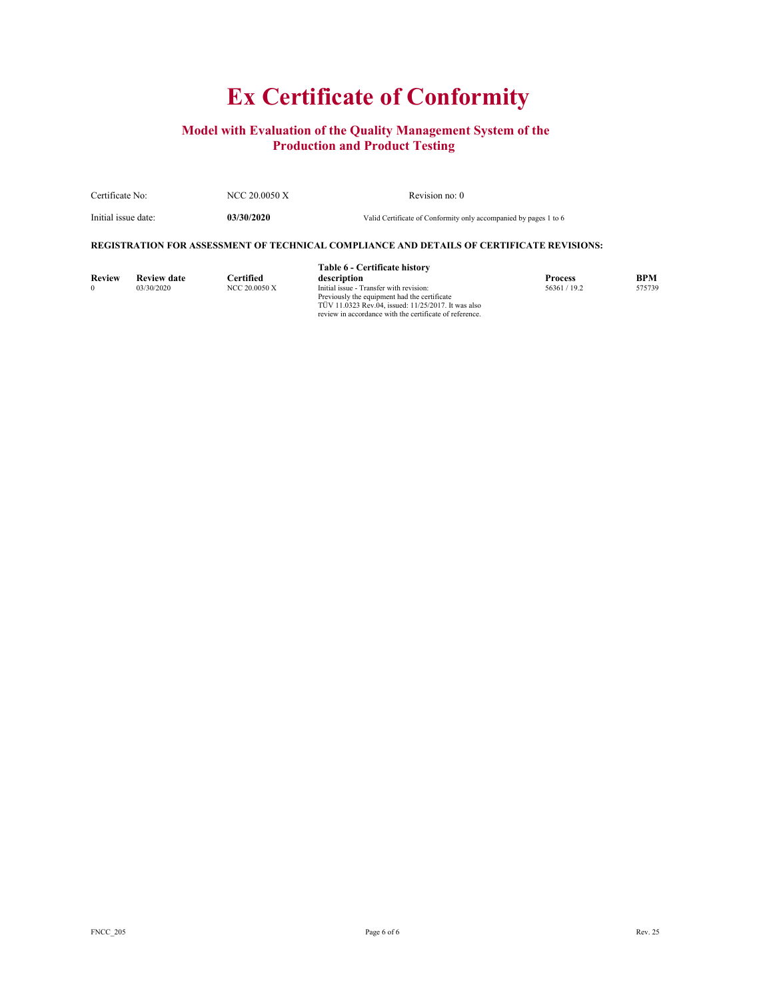## **Model with Evaluation of the Quality Management System of the Production and Product Testing**

| Certificate No:     | NCC 20.0050 X | Revision no: 0                                                   |
|---------------------|---------------|------------------------------------------------------------------|
| Initial issue date: | 03/30/2020    | Valid Certificate of Conformity only accompanied by pages 1 to 6 |

### **REGISTRATION FOR ASSESSMENT OF TECHNICAL COMPLIANCE AND DETAILS OF CERTIFICATE REVISIONS:**

|               |                    |                  | Table 6 - Certificate history                                                                                                                                                                             |                |            |
|---------------|--------------------|------------------|-----------------------------------------------------------------------------------------------------------------------------------------------------------------------------------------------------------|----------------|------------|
| <b>Review</b> | <b>Review date</b> | <b>Certified</b> | description                                                                                                                                                                                               | <b>Process</b> | <b>BPM</b> |
| $\Omega$      | 03/30/2020         | NCC 20.0050 X    | Initial issue - Transfer with revision:<br>Previously the equipment had the certificate<br>TUV 11.0323 Rev.04, issued: 11/25/2017. It was also<br>review in accordance with the certificate of reference. | 56361 / 19.2   | 575739     |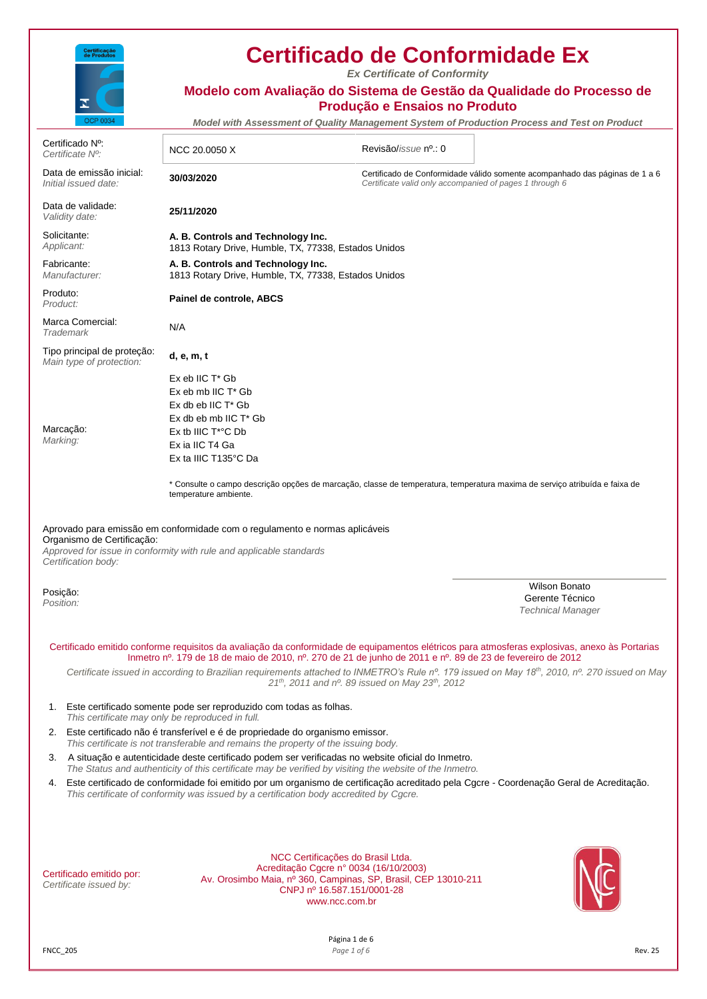

Data de emissão inicial:<br>Initial issued date:

Certificado Nº:<br>Certificate Nº:

# **Certificado de Conformidade Ex**

*Ex Certificate of Conformity*

# **Modelo com Avaliação do Sistema de Gestão da Qualidade do Processo de Produção e Ensaios no Produto** *Model with Assessment of Quality Management System of Production Process and Test on Product Certificate Nº:* NCC 20.0050 X Revisão/*issue* nº.: 0 *Initial issued date:* **30/03/2020** Certificado de Conformidade válido somente acompanhado das páginas de 1 a 6 *Certificate valid only accompanied of pages 1 through 6*

Data de validade: *Validity date:* **25/11/2020** Solicitante: *Applicant:* **A. B. Controls and Technology Inc.** 1813 Rotary Drive, Humble, TX, 77338, Estados Unidos Fabricante: *Manufacturer:* **A. B. Controls and Technology Inc.** 1813 Rotary Drive, Humble, TX, 77338, Estados Unidos Produto: *Product:* **Painel de controle, ABCS** Marca Comercial: *Trademark* N/A

> Ex eb IIC T\* Gb Ex eb mb IIC T\* Gb  $E \times dh$  ob IIC  $T^*$  Ch Ex db eb mb IIC T\* Gb Ex tb IIIC T\*°C Db Ex ia IIC T4 Ga Ex ta IIIC T135°C Da

Tipo principal de proteção: *Main type of protection:* **d, e, m, t**

Marcação: *Marking:*

> \* Consulte o campo descrição opções de marcação, classe de temperatura, temperatura maxima de serviço atribuída e faixa de temperature ambiente.

### Aprovado para emissão em conformidade com o regulamento e normas aplicáveis Organismo de Certificação:

*Approved for issue in conformity with rule and applicable standards Certification body:*

Posição:

*Position:*

Wilson Bonato Gerente Técnico *Technical Manager*

Certificado emitido conforme requisitos da avaliação da conformidade de equipamentos elétricos para atmosferas explosivas, anexo às Portarias Inmetro nº. 179 de 18 de maio de 2010, nº. 270 de 21 de junho de 2011 e nº. 89 de 23 de fevereiro de 2012

*Certificate issued in according to Brazilian requirements attached to INMETRO's Rule nº. 179 issued on May 18th, 2010, nº. 270 issued on May 21th, 2011 and nº. 89 issued on May 23th, 2012*

- 1. Este certificado somente pode ser reproduzido com todas as folhas. *This certificate may only be reproduced in full.*
- 2. Este certificado não é transferível e é de propriedade do organismo emissor. *This certificate is not transferable and remains the property of the issuing body.*
- 3. A situação e autenticidade deste certificado podem ser verificadas no website oficial do Inmetro. *The Status and authenticity of this certificate may be verified by visiting the website of the Inmetro.*
- 4. Este certificado de conformidade foi emitido por um organismo de certificação acreditado pela Cgcre Coordenação Geral de Acreditação. *This certificate of conformity was issued by a certification body accredited by Cgcre.*

| Certificado emitido por: |  |
|--------------------------|--|
| Certificate issued by:   |  |

NCC Certificações do Brasil Ltda. Acreditação Cgcre n° 0034 (16/10/2003) Av. Orosimbo Maia, nº 360, Campinas, SP, Brasil, CEP 13010-211 CNPJ nº 16.587.151/0001-28 www.ncc.com.br

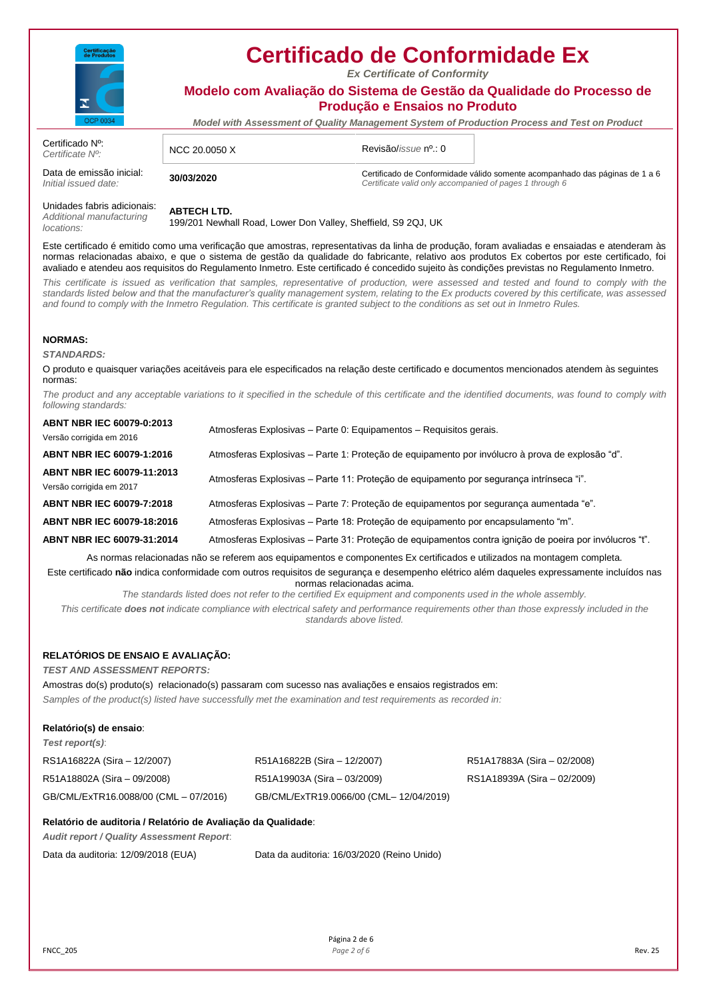

*Ex Certificate of Conformity*

**Modelo com Avaliação do Sistema de Gestão da Qualidade do Processo de Produção e Ensaios no Produto**

*Model with Assessment of Quality Management System of Production Process and Test on Product*

| Certificado N <sup>o</sup> :<br>Certificate N <sup>o</sup> : | NCC 20.0050 X | Revisão/ <i>issue</i> nº.: 0                            |                                                                             |
|--------------------------------------------------------------|---------------|---------------------------------------------------------|-----------------------------------------------------------------------------|
| Data de emissão inicial:<br>Initial issued date:             | 30/03/2020    | Certificate valid only accompanied of pages 1 through 6 | Certificado de Conformidade válido somente acompanhado das páginas de 1 a 6 |

Unidades fabris adicionais: *Additional manufacturing locations:*

# **ABTECH LTD.**

199/201 Newhall Road, Lower Don Valley, Sheffield, S9 2QJ, UK

Este certificado é emitido como uma verificação que amostras, representativas da linha de produção, foram avaliadas e ensaiadas e atenderam às normas relacionadas abaixo, e que o sistema de gestão da qualidade do fabricante, relativo aos produtos Ex cobertos por este certificado, foi avaliado e atendeu aos requisitos do Regulamento Inmetro. Este certificado é concedido sujeito às condições previstas no Regulamento Inmetro.

This certificate is issued as verification that samples, representative of production, were assessed and tested and found to comply with the *standards listed below and that the manufacturer's quality management system, relating to the Ex products covered by this certificate, was assessed and found to comply with the Inmetro Regulation. This certificate is granted subject to the conditions as set out in Inmetro Rules.*

### **NORMAS:**

*STANDARDS:*

O produto e quaisquer variações aceitáveis para ele especificados na relação deste certificado e documentos mencionados atendem às seguintes normas:

*The product and any acceptable variations to it specified in the schedule of this certificate and the identified documents, was found to comply with following standards:*

| <b>ABNT NBR IEC 60079-0:2013</b><br>Versão corrigida em 2016 | Atmosferas Explosivas - Parte 0: Equipamentos - Requisitos gerais.                                      |
|--------------------------------------------------------------|---------------------------------------------------------------------------------------------------------|
| ABNT NBR IEC 60079-1:2016                                    | Atmosferas Explosivas – Parte 1: Proteção de equipamento por invólucro à prova de explosão "d".         |
| ABNT NBR IEC 60079-11:2013<br>Versão corrigida em 2017       | Atmosferas Explosivas – Parte 11: Proteção de equipamento por segurança intrínseca "i".                 |
| ABNT NBR IEC 60079-7:2018                                    | Atmosferas Explosivas – Parte 7: Proteção de equipamentos por segurança aumentada "e"                   |
| ABNT NBR IEC 60079-18:2016                                   | Atmosferas Explosivas – Parte 18: Proteção de equipamento por encapsulamento "m".                       |
| ABNT NBR IEC 60079-31:2014                                   | Atmosferas Explosivas – Parte 31: Proteção de equipamentos contra ignição de poeira por invólucros "t". |
|                                                              |                                                                                                         |

As normas relacionadas não se referem aos equipamentos e componentes Ex certificados e utilizados na montagem completa. Este certificado **não** indica conformidade com outros requisitos de segurança e desempenho elétrico além daqueles expressamente incluídos nas normas relacionadas acima.

*The standards listed does not refer to the certified Ex equipment and components used in the whole assembly.*

*This certificate does not indicate compliance with electrical safety and performance requirements other than those expressly included in the standards above listed.*

## **RELATÓRIOS DE ENSAIO E AVALIAÇÃO:**

*TEST AND ASSESSMENT REPORTS:*

Amostras do(s) produto(s) relacionado(s) passaram com sucesso nas avaliações e ensaios registrados em: *Samples of the product(s) listed have successfully met the examination and test requirements as recorded in:*

### **Relatório(s) de ensaio**:

*Test report(s)*:

| RS1A16822A (Sira – 12/2007)           | R51A16822B (Sira - 12/2007)             | R51A17883A (Sira – 02/2008) |
|---------------------------------------|-----------------------------------------|-----------------------------|
| R51A18802A (Sira - 09/2008)           | R51A19903A (Sira – 03/2009)             | RS1A18939A (Sira – 02/2009) |
| GB/CML/ExTR16.0088/00 (CML - 07/2016) | GB/CML/ExTR19.0066/00 (CML- 12/04/2019) |                             |

## **Relatório de auditoria / Relatório de Avaliação da Qualidade**:

*Audit report / Quality Assessment Report*:

Data da auditoria: 12/09/2018 (EUA) Data da auditoria: 16/03/2020 (Reino Unido)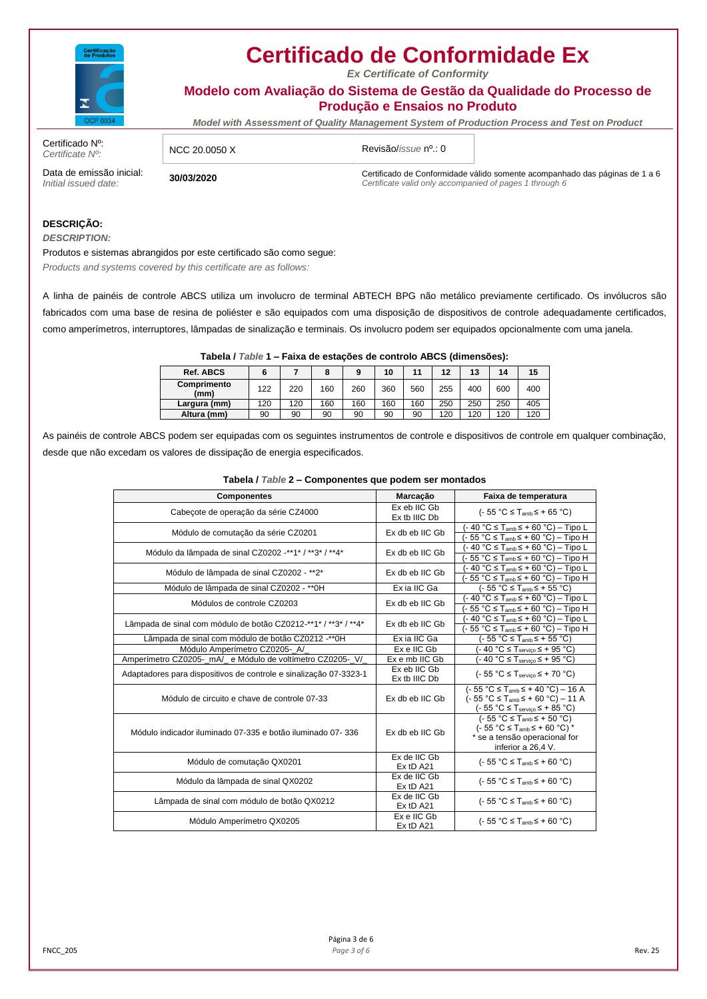

*Ex Certificate of Conformity*

**Modelo com Avaliação do Sistema de Gestão da Qualidade do Processo de Produção e Ensaios no Produto**

*Model with Assessment of Quality Management System of Production Process and Test on Product*

Certificado Nº:<br>Certificate Nº:

*Certificate Nº:* NCC 20.0050 X Revisão/*issue* nº.: 0

Data de emissão inicial:<br>Initial issued date: *Initial issued date:* **30/03/2020** Certificado de Conformidade válido somente acompanhado das páginas de 1 a 6 *Certificate valid only accompanied of pages 1 through 6*

## **DESCRIÇÃO:**

*DESCRIPTION:*

Produtos e sistemas abrangidos por este certificado são como segue: *Products and systems covered by this certificate are as follows:*

A linha de painéis de controle ABCS utiliza um involucro de terminal ABTECH BPG não metálico previamente certificado. Os invólucros são fabricados com uma base de resina de poliéster e são equipados com uma disposição de dispositivos de controle adequadamente certificados, como amperímetros, interruptores, lâmpadas de sinalização e terminais. Os involucro podem ser equipados opcionalmente com uma janela.

| Tabela / Table 1 – Faixa de estações de controlo ABCS (dimensões): |     |     |     |     |     |     |     |     |     |     |
|--------------------------------------------------------------------|-----|-----|-----|-----|-----|-----|-----|-----|-----|-----|
| <b>Ref. ABCS</b>                                                   | 6   |     | 8   | 9   | 10  | 11  | 12  | 13  | 14  | 15  |
| Comprimento<br>(mm)                                                | 122 | 220 | 160 | 260 | 360 | 560 | 255 | 400 | 600 | 400 |
| Largura (mm)                                                       | 120 | 120 | 160 | 160 | 160 | 160 | 250 | 250 | 250 | 405 |
| Altura (mm)                                                        | 90  | 90  | 90  | 90  | 90  | 90  | 120 | 120 | 120 | 120 |

As painéis de controle ABCS podem ser equipadas com os seguintes instrumentos de controle e dispositivos de controle em qualquer combinação, desde que não excedam os valores de dissipação de energia especificados.

| <b>Componentes</b>                                                | Marcação                      | Faixa de temperatura                                                                                                                       |
|-------------------------------------------------------------------|-------------------------------|--------------------------------------------------------------------------------------------------------------------------------------------|
|                                                                   | Ex eb IIC Gb                  |                                                                                                                                            |
| Cabecote de operação da série CZ4000                              | Ex tb IIIC Db                 | $(-55 °C \leq T_{amb} \leq +65 °C)$                                                                                                        |
| Módulo de comutação da série CZ0201                               | Ex db eb IIC Gb               | (- 40 °C ≤ T <sub>amb</sub> ≤ + 60 °C) – Tipo L                                                                                            |
|                                                                   |                               | (- 55 °C ≤ T <sub>amb</sub> ≤ + 60 °C) – Tipo H                                                                                            |
| Módulo da lâmpada de sinal CZ0202 -**1* / **3* / **4*             | Ex db eb IIC Gb               | (- 40 °C ≤ T <sub>amb</sub> ≤ + 60 °C) – Tipo L                                                                                            |
|                                                                   |                               | (- 55 °C ≤ T <sub>amb</sub> ≤ + 60 °C) – Tipo H                                                                                            |
| Módulo de lâmpada de sinal CZ0202 - **2*                          | Ex db eb IIC Gb               | $-40$ °C $\leq$ T <sub>amb</sub> $\leq$ + 60 °C) – Tipo L                                                                                  |
|                                                                   |                               | $55 °C \leq T_{amb} \leq +60 °C$ – Tipo H                                                                                                  |
| Módulo de lâmpada de sinal CZ0202 - ** 0H                         | Ex ia IIC Ga                  | $(-55 °C \leq T_{amb} \leq +55 °C)$                                                                                                        |
| Módulos de controle CZ0203                                        | Ex db eb IIC Gb               | (- 40 °C ≤ T <sub>amb</sub> ≤ + 60 °C) – Tipo L                                                                                            |
|                                                                   |                               | $-55 °C \leq T_{amb} \leq +60 °C$ ) - Tipo H                                                                                               |
|                                                                   |                               | (- 40 °C ≤ T <sub>amb</sub> ≤ + 60 °C) – Tipo L                                                                                            |
| Lâmpada de sinal com módulo de botão CZ0212-**1* / **3* / **4*    | Ex db eb IIC Gb               | (- 55 °C ≤ T <sub>amb</sub> ≤ + 60 °C) – Tipo H                                                                                            |
| Lâmpada de sinal com módulo de botão CZ0212 -** 0H                | Ex ia IIC Ga                  | (- 55 °C ≤ T <sub>amb</sub> ≤ + 55 °C)                                                                                                     |
| Módulo Amperímetro CZ0205- A/                                     | Ex e IIC Gb                   | $(-40 °C \leq T_{\text{servico}} \leq +95 °C)$                                                                                             |
| Amperímetro CZ0205-_mA/_ e Módulo de voltímetro CZ0205-_V/_       | Ex e mb IIC Gb                | $(-40 °C \leq T_{\text{servico}} \leq +95 °C)$                                                                                             |
| Adaptadores para dispositivos de controle e sinalização 07-3323-1 | Ex eb IIC Gb<br>Ex tb IIIC Db | $(-55 °C \leq T_{\text{servico}} \leq +70 °C)$                                                                                             |
| Módulo de circuito e chave de controle 07-33                      | Ex db eb IIC Gb               | $(-55 °C \leq T_{amb} \leq +40 °C) - 16 A$<br>$(-55 °C \leq T_{amb} \leq +60 °C) - 11 A$<br>$(-55 °C \leq T_{\text{servico}} \leq +85 °C)$ |
| Módulo indicador iluminado 07-335 e botão iluminado 07-336        | Ex db eb IIC Gb               | $(-55 °C \leq T_{amb} \leq +50 °C)$<br>$(-55 °C \leq T_{amb} \leq +60 °C)$ *<br>* se a tensão operacional for<br>inferior a 26,4 V.        |
| Módulo de comutação QX0201                                        | Ex de IIC Gb<br>Ex tD A21     | $(-55 °C \leq T_{amb} \leq +60 °C)$                                                                                                        |
| Módulo da lâmpada de sinal QX0202                                 | Ex de IIC Gb<br>Ex tD A21     | $(-55 °C \leq T_{amb} \leq +60 °C)$                                                                                                        |
| Lâmpada de sinal com módulo de botão QX0212                       | Ex de IIC Gb<br>Ex tD A21     | $(-55 °C \leq T_{amb} \leq +60 °C)$                                                                                                        |
| Módulo Amperímetro QX0205                                         | Ex e IIC Gb<br>Ex tD A21      | $(-55 °C \leq T_{amb} \leq +60 °C)$                                                                                                        |

### **Tabela /** *Table* **2 – Componentes que podem ser montados**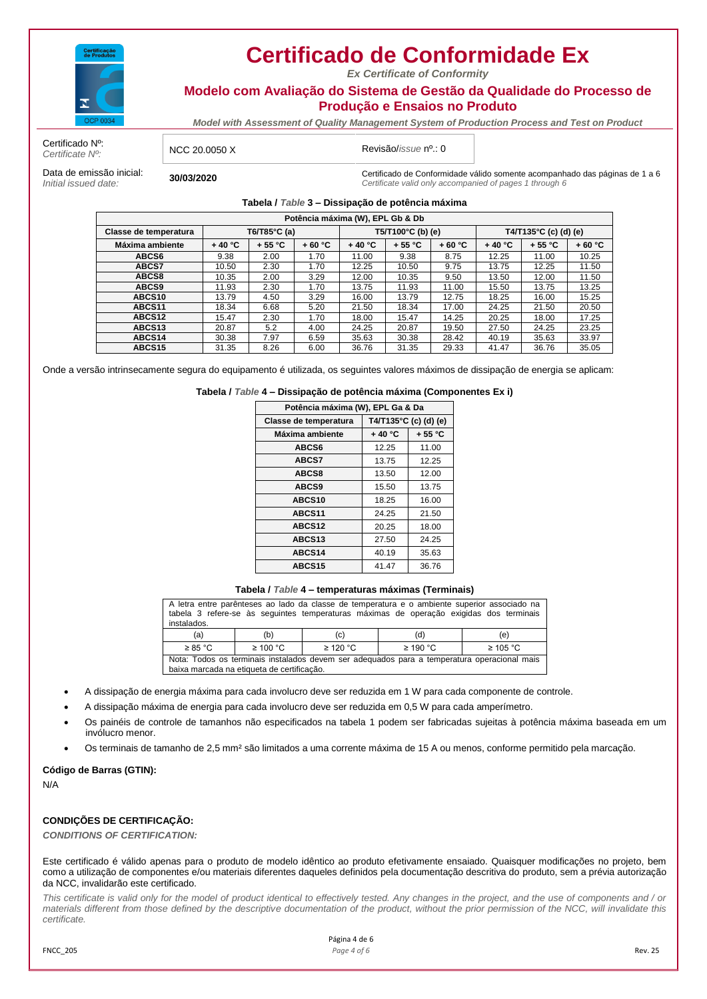

*Ex Certificate of Conformity*

**Modelo com Avaliação do Sistema de Gestão da Qualidade do Processo de Produção e Ensaios no Produto**

*Model with Assessment of Quality Management System of Production Process and Test on Product*

Certificado Nº:<br>Certificate Nº:

*Certificate Nº:* NCC 20.0050 X Revisão/*issue* nº.: 0

Data de emissão inicial:<br>Initial issued date:

*Initial issued date:* **30/03/2020** Certificado de Conformidade válido somente acompanhado das páginas de 1 a 6 *Certificate valid only accompanied of pages 1 through 6*

**Tabela /** *Table* **3 – Dissipação de potência máxima**

| Potência máxima (W), EPL Gb & Db |          |              |          |          |                   |          |                       |          |          |
|----------------------------------|----------|--------------|----------|----------|-------------------|----------|-----------------------|----------|----------|
| Classe de temperatura            |          | T6/T85°C (a) |          |          | T5/T100°C (b) (e) |          | T4/T135°C (c) (d) (e) |          |          |
| Máxima ambiente                  | $+40 °C$ | $+55 °C$     | $+60 °C$ | $+40 °C$ | $+55 °C$          | $+60 °C$ | $+40 °C$              | $+55 °C$ | $+60 °C$ |
| ABCS6                            | 9.38     | 2.00         | 1.70     | 11.00    | 9.38              | 8.75     | 12.25                 | 11.00    | 10.25    |
| ABCS7                            | 10.50    | 2.30         | 1.70     | 12.25    | 10.50             | 9.75     | 13.75                 | 12.25    | 11.50    |
| ABCS8                            | 10.35    | 2.00         | 3.29     | 12.00    | 10.35             | 9.50     | 13.50                 | 12.00    | 11.50    |
| ABCS9                            | 11.93    | 2.30         | 1.70     | 13.75    | 11.93             | 11.00    | 15.50                 | 13.75    | 13.25    |
| ABCS10                           | 13.79    | 4.50         | 3.29     | 16.00    | 13.79             | 12.75    | 18.25                 | 16.00    | 15.25    |
| ABCS11                           | 18.34    | 6.68         | 5.20     | 21.50    | 18.34             | 17.00    | 24.25                 | 21.50    | 20.50    |
| ABCS <sub>12</sub>               | 15.47    | 2.30         | 1.70     | 18.00    | 15.47             | 14.25    | 20.25                 | 18.00    | 17.25    |
| ABCS <sub>13</sub>               | 20.87    | 5.2          | 4.00     | 24.25    | 20.87             | 19.50    | 27.50                 | 24.25    | 23.25    |
| ABCS <sub>14</sub>               | 30.38    | 7.97         | 6.59     | 35.63    | 30.38             | 28.42    | 40.19                 | 35.63    | 33.97    |
| ABCS15                           | 31.35    | 8.26         | 6.00     | 36.76    | 31.35             | 29.33    | 41.47                 | 36.76    | 35.05    |

Onde a versão intrinsecamente segura do equipamento é utilizada, os seguintes valores máximos de dissipação de energia se aplicam:

**Tabela /** *Table* **4 – Dissipação de potência máxima (Componentes Ex i)**

| Potência máxima (W), EPL Ga & Da               |                      |       |  |  |  |
|------------------------------------------------|----------------------|-------|--|--|--|
| T4/T135°C (c) (d) (e)<br>Classe de temperatura |                      |       |  |  |  |
| Máxima ambiente                                | $+40 °C$<br>$+55 °C$ |       |  |  |  |
| ABCS6                                          | 12.25                | 11.00 |  |  |  |
| ABCS7                                          | 13.75                | 12.25 |  |  |  |
| ABCS8                                          | 13.50                | 12.00 |  |  |  |
| ABCS9                                          | 15.50                | 13.75 |  |  |  |
| ABCS <sub>10</sub>                             | 18.25                | 16.00 |  |  |  |
| ABCS <sub>11</sub>                             | 24.25                | 21.50 |  |  |  |
| ABCS <sub>12</sub>                             | 20.25                | 18.00 |  |  |  |
| ABCS <sub>13</sub>                             | 27.50                | 24.25 |  |  |  |
| ABCS14                                         | 40.19                | 35.63 |  |  |  |
| ABCS15                                         | 41.47                | 36.76 |  |  |  |

**Tabela /** *Table* **4 – temperaturas máximas (Terminais)**

| A letra entre parênteses ao lado da classe de temperatura e o ambiente superior associado na<br>tabela 3 refere-se às seguintes temperaturas máximas de operação exigidas dos terminais<br>instalados. |  |  |  |  |  |  |  |
|--------------------------------------------------------------------------------------------------------------------------------------------------------------------------------------------------------|--|--|--|--|--|--|--|
| (a)<br>(b)<br>(d)<br>(e)<br>(c)                                                                                                                                                                        |  |  |  |  |  |  |  |
| $\geq$ 120 °C<br>$\geq$ 190 °C<br>$\geq 100$ °C<br>$\geq 105$ °C<br>$\geq 85$ °C                                                                                                                       |  |  |  |  |  |  |  |
| Nota: Todos os terminais instalados devem ser adequados para a temperatura operacional mais<br>baixa marcada na etiqueta de certificação.                                                              |  |  |  |  |  |  |  |

- A dissipação de energia máxima para cada involucro deve ser reduzida em 1 W para cada componente de controle.
- A dissipação máxima de energia para cada involucro deve ser reduzida em 0,5 W para cada amperímetro.
- Os painéis de controle de tamanhos não especificados na tabela 1 podem ser fabricadas sujeitas à potência máxima baseada em um invólucro menor.
- Os terminais de tamanho de 2,5 mm² são limitados a uma corrente máxima de 15 A ou menos, conforme permitido pela marcação.

### **Código de Barras (GTIN):**

N/A

## **CONDIÇÕES DE CERTIFICAÇÃO:**

*CONDITIONS OF CERTIFICATION:*

Este certificado é válido apenas para o produto de modelo idêntico ao produto efetivamente ensaiado. Quaisquer modificações no projeto, bem como a utilização de componentes e/ou materiais diferentes daqueles definidos pela documentação descritiva do produto, sem a prévia autorização da NCC, invalidarão este certificado.

*This certificate is valid only for the model of product identical to effectively tested. Any changes in the project, and the use of components and / or materials different from those defined by the descriptive documentation of the product, without the prior permission of the NCC, will invalidate this certificate.*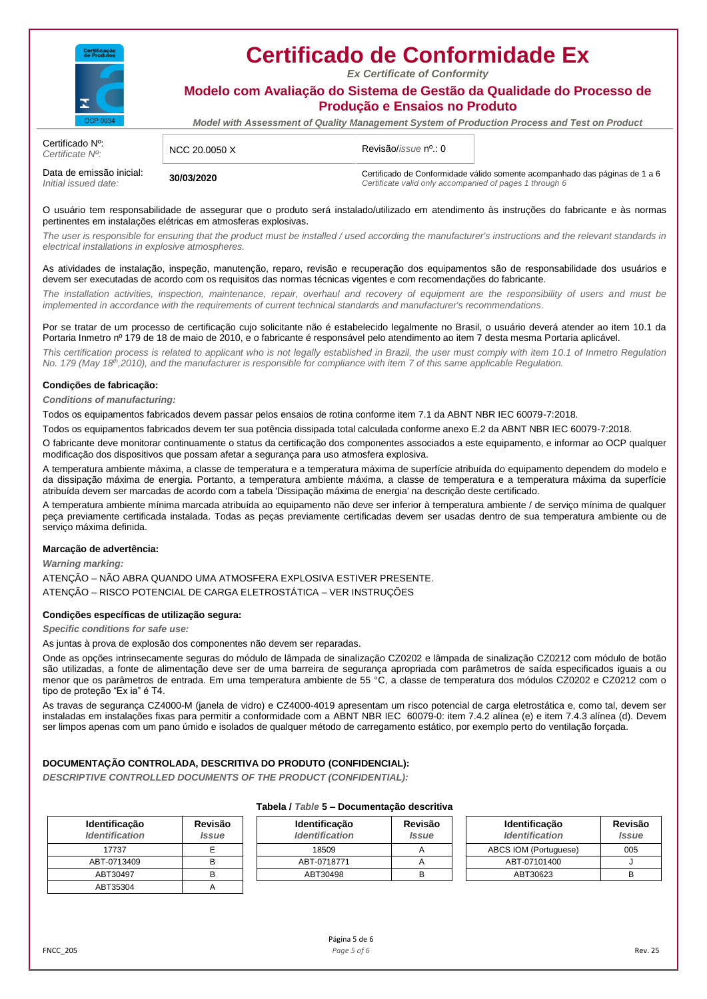

*Ex Certificate of Conformity*

**Modelo com Avaliação do Sistema de Gestão da Qualidade do Processo de Produção e Ensaios no Produto**

*Model with Assessment of Quality Management System of Production Process and Test on Product*

| Certificado N <sup>o</sup> :<br>Certificate N <sup>o</sup> : | NCC 20.0050 X | Revisão/ <i>issue</i> nº.: 0 |                                                                                                                                        |  |
|--------------------------------------------------------------|---------------|------------------------------|----------------------------------------------------------------------------------------------------------------------------------------|--|
| Data de emissão inicial:<br>Initial issued date:             | 30/03/2020    |                              | Certificado de Conformidade válido somente acompanhado das páginas de 1 a 6<br>Certificate valid only accompanied of pages 1 through 6 |  |

O usuário tem responsabilidade de assegurar que o produto será instalado/utilizado em atendimento às instruções do fabricante e às normas pertinentes em instalações elétricas em atmosferas explosivas.

The user is responsible for ensuring that the product must be installed / used according the manufacturer's instructions and the relevant standards in *electrical installations in explosive atmospheres.*

As atividades de instalação, inspeção, manutenção, reparo, revisão e recuperação dos equipamentos são de responsabilidade dos usuários e devem ser executadas de acordo com os requisitos das normas técnicas vigentes e com recomendações do fabricante.

*The installation activities, inspection, maintenance, repair, overhaul and recovery of equipment are the responsibility of users and must be implemented in accordance with the requirements of current technical standards and manufacturer's recommendations.*

Por se tratar de um processo de certificação cujo solicitante não é estabelecido legalmente no Brasil, o usuário deverá atender ao item 10.1 da Portaria Inmetro nº 179 de 18 de maio de 2010, e o fabricante é responsável pelo atendimento ao item 7 desta mesma Portaria aplicável.

*This certification process is related to applicant who is not legally established in Brazil, the user must comply with item 10.1 of Inmetro Regulation No. 179 (May 18th,2010), and the manufacturer is responsible for compliance with item 7 of this same applicable Regulation.* 

### **Condições de fabricação:**

*Conditions of manufacturing:*

Todos os equipamentos fabricados devem passar pelos ensaios de rotina conforme item 7.1 da ABNT NBR IEC 60079-7:2018.

Todos os equipamentos fabricados devem ter sua potência dissipada total calculada conforme anexo E.2 da ABNT NBR IEC 60079-7:2018.

O fabricante deve monitorar continuamente o status da certificação dos componentes associados a este equipamento, e informar ao OCP qualquer modificação dos dispositivos que possam afetar a segurança para uso atmosfera explosiva.

A temperatura ambiente máxima, a classe de temperatura e a temperatura máxima de superfície atribuída do equipamento dependem do modelo e da dissipação máxima de energia. Portanto, a temperatura ambiente máxima, a classe de temperatura e a temperatura máxima da superfície atribuída devem ser marcadas de acordo com a tabela 'Dissipação máxima de energia' na descrição deste certificado.

A temperatura ambiente mínima marcada atribuída ao equipamento não deve ser inferior à temperatura ambiente / de serviço mínima de qualquer peça previamente certificada instalada. Todas as peças previamente certificadas devem ser usadas dentro de sua temperatura ambiente ou de serviço máxima definida.

### **Marcação de advertência:**

*Warning marking:*

ATENÇÃO – NÃO ABRA QUANDO UMA ATMOSFERA EXPLOSIVA ESTIVER PRESENTE. ATENÇÃO – RISCO POTENCIAL DE CARGA ELETROSTÁTICA – VER INSTRUÇÕES

### **Condições específicas de utilização segura:**

*Specific conditions for safe use:*

As juntas à prova de explosão dos componentes não devem ser reparadas.

Onde as opções intrinsecamente seguras do módulo de lâmpada de sinalização CZ0202 e lâmpada de sinalização CZ0212 com módulo de botão são utilizadas, a fonte de alimentação deve ser de uma barreira de segurança apropriada com parâmetros de saída especificados iguais a ou menor que os parâmetros de entrada. Em uma temperatura ambiente de 55 °C, a classe de temperatura dos módulos CZ0202 e CZ0212 com o tipo de proteção "Ex ia" é T4.

As travas de segurança CZ4000-M (janela de vidro) e CZ4000-4019 apresentam um risco potencial de carga eletrostática e, como tal, devem ser instaladas em instalações fixas para permitir a conformidade com a ABNT NBR IEC 60079-0: item 7.4.2 alínea (e) e item 7.4.3 alínea (d). Devem ser limpos apenas com um pano úmido e isolados de qualquer método de carregamento estático, por exemplo perto do ventilação forçada.

### **DOCUMENTAÇÃO CONTROLADA, DESCRITIVA DO PRODUTO (CONFIDENCIAL):**

*DESCRIPTIVE CONTROLLED DOCUMENTS OF THE PRODUCT (CONFIDENTIAL):*

| <b>Identificação</b><br><b>Identification</b> | Revisão<br><b>Issue</b> |
|-----------------------------------------------|-------------------------|
| 17737                                         |                         |
| ABT-0713409                                   |                         |
| ABT30497                                      |                         |
| ABT35304                                      |                         |

## **Tabela /** *Table* **5 – Documentação descritiva**

| dentificacão<br>dentification | Revisão<br>Issue | Identificacão<br><b>Identification</b> | Revisão<br><i><u><b>Issue</b></u></i> | <b>Identificacão</b><br><b>Identification</b> | Revisão<br><i><u><b>Issue</b></u></i> |
|-------------------------------|------------------|----------------------------------------|---------------------------------------|-----------------------------------------------|---------------------------------------|
| 17737                         |                  | 18509                                  |                                       | ABCS IOM (Portuguese)                         | 005                                   |
| ABT-0713409                   |                  | ABT-0718771                            |                                       | ABT-07101400                                  |                                       |
| ABT30497                      |                  | ABT30498                               |                                       | ABT30623                                      |                                       |
| ADT0F00A                      |                  |                                        |                                       |                                               |                                       |